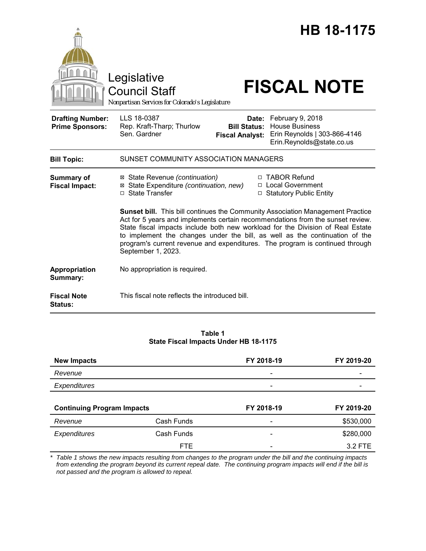|                                                   | Legislative<br><b>Council Staff</b><br>Nonpartisan Services for Colorado's Legislature                              |                                                        | <b>HB 18-1175</b><br><b>FISCAL NOTE</b>                                                                                                                                                                                                                                                                                                                                                                                                                                                |
|---------------------------------------------------|---------------------------------------------------------------------------------------------------------------------|--------------------------------------------------------|----------------------------------------------------------------------------------------------------------------------------------------------------------------------------------------------------------------------------------------------------------------------------------------------------------------------------------------------------------------------------------------------------------------------------------------------------------------------------------------|
| <b>Drafting Number:</b><br><b>Prime Sponsors:</b> | LLS 18-0387<br>Rep. Kraft-Tharp; Thurlow<br>Sen. Gardner                                                            | Date:<br><b>Bill Status:</b><br><b>Fiscal Analyst:</b> | February 9, 2018<br><b>House Business</b><br>Erin Reynolds   303-866-4146<br>Erin.Reynolds@state.co.us                                                                                                                                                                                                                                                                                                                                                                                 |
| <b>Bill Topic:</b>                                | SUNSET COMMUNITY ASSOCIATION MANAGERS                                                                               |                                                        |                                                                                                                                                                                                                                                                                                                                                                                                                                                                                        |
| <b>Summary of</b><br><b>Fiscal Impact:</b>        | ⊠ State Revenue (continuation)<br>⊠ State Expenditure (continuation, new)<br>□ State Transfer<br>September 1, 2023. |                                                        | □ TABOR Refund<br>□ Local Government<br>□ Statutory Public Entity<br>Sunset bill. This bill continues the Community Association Management Practice<br>Act for 5 years and implements certain recommendations from the sunset review.<br>State fiscal impacts include both new workload for the Division of Real Estate<br>to implement the changes under the bill, as well as the continuation of the<br>program's current revenue and expenditures. The program is continued through |
| Appropriation<br>Summary:                         | No appropriation is required.                                                                                       |                                                        |                                                                                                                                                                                                                                                                                                                                                                                                                                                                                        |
| <b>Fiscal Note</b><br>Status:                     | This fiscal note reflects the introduced bill.                                                                      |                                                        |                                                                                                                                                                                                                                                                                                                                                                                                                                                                                        |

### **Table 1 State Fiscal Impacts Under HB 18-1175**

| <b>New Impacts</b>                |            | FY 2018-19               | FY 2019-20 |  |
|-----------------------------------|------------|--------------------------|------------|--|
| Revenue                           |            |                          |            |  |
| Expenditures                      |            |                          |            |  |
|                                   |            |                          |            |  |
| <b>Continuing Program Impacts</b> |            |                          | FY 2019-20 |  |
|                                   |            | FY 2018-19               |            |  |
| Revenue                           | Cash Funds | $\overline{\phantom{a}}$ | \$530,000  |  |
| <b>Expenditures</b>               | Cash Funds |                          | \$280,000  |  |

*\* Table 1 shows the new impacts resulting from changes to the program under the bill and the continuing impacts from extending the program beyond its current repeal date. The continuing program impacts will end if the bill is not passed and the program is allowed to repeal.*